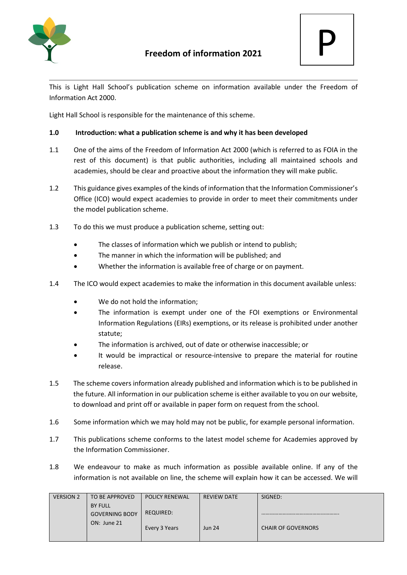

This is Light Hall School's publication scheme on information available under the Freedom of Information Act 2000.

Light Hall School is responsible for the maintenance of this scheme.

## **1.0 Introduction: what a publication scheme is and why it has been developed**

- 1.1 One of the aims of the Freedom of Information Act 2000 (which is referred to as FOIA in the rest of this document) is that public authorities, including all maintained schools and academies, should be clear and proactive about the information they will make public.
- 1.2 This guidance gives examples of the kinds of information that the Information Commissioner's Office (ICO) would expect academies to provide in order to meet their commitments under the model publication scheme.
- 1.3 To do this we must produce a publication scheme, setting out:
	- The classes of information which we publish or intend to publish:
	- The manner in which the information will be published; and
	- Whether the information is available free of charge or on payment.
- 1.4 The ICO would expect academies to make the information in this document available unless:
	- We do not hold the information;
	- The information is exempt under one of the FOI exemptions or Environmental Information Regulations (EIRs) exemptions, or its release is prohibited under another statute;
	- The information is archived, out of date or otherwise inaccessible; or
	- It would be impractical or resource-intensive to prepare the material for routine release.
- 1.5 The scheme covers information already published and information which is to be published in the future. All information in our publication scheme is either available to you on our website, to download and print off or available in paper form on request from the school.
- 1.6 Some information which we may hold may not be public, for example personal information.
- 1.7 This publications scheme conforms to the latest model scheme for Academies approved by the Information Commissioner.
- 1.8 We endeavour to make as much information as possible available online. If any of the information is not available on line, the scheme will explain how it can be accessed. We will

| <b>VERSION 2</b> | TO BE APPROVED        | <b>POLICY RENEWAL</b> | REVIEW DATE   | SIGNED:                   |
|------------------|-----------------------|-----------------------|---------------|---------------------------|
|                  | <b>BY FULL</b>        |                       |               |                           |
|                  | <b>GOVERNING BODY</b> | REQUIRED:             |               |                           |
|                  | ON: June 21           | Every 3 Years         | <b>Jun 24</b> | <b>CHAIR OF GOVERNORS</b> |
|                  |                       |                       |               |                           |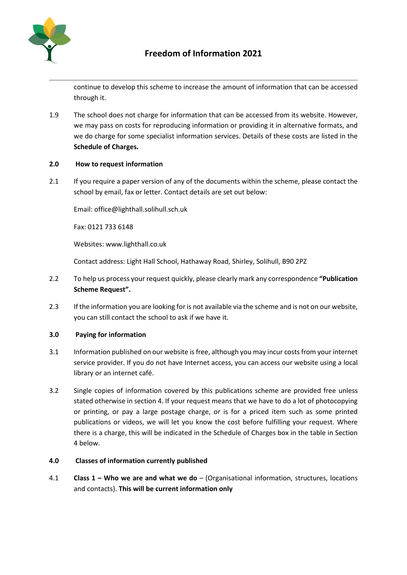

continue to develop this scheme to increase the amount of information that can be accessed through it.

1.9 The school does not charge for information that can be accessed from its website. However, we may pass on costs for reproducing information or providing it in alternative formats, and we do charge for some specialist information services. Details of these costs are listed in the **Schedule of Charges.** 

#### **2.0 How to request information**

2.1 If you require a paper version of any of the documents within the scheme, please contact the school by email, fax or letter. Contact details are set out below:

Email: office@lighthall.solihull.sch.uk

Fax: 0121 733 6148

Websites: www.lighthall.co.uk

Contact address: Light Hall School, Hathaway Road, Shirley, Solihull, B90 2PZ

- 2.2 To help us process your request quickly, please clearly mark any correspondence **"Publication Scheme Request".**
- 2.3 If the information you are looking for is not available via the scheme and is not on our website, you can still contact the school to ask if we have it.

#### **3.0 Paying for information**

- 3.1 Information published on our website is free, although you may incur costs from your internet service provider. If you do not have Internet access, you can access our website using a local library or an internet café.
- 3.2 Single copies of information covered by this publications scheme are provided free unless stated otherwise in section 4. If your request means that we have to do a lot of photocopying or printing, or pay a large postage charge, or is for a priced item such as some printed publications or videos, we will let you know the cost before fulfilling your request. Where there is a charge, this will be indicated in the Schedule of Charges box in the table in Section 4 below.

#### **4.0 Classes of information currently published**

4.1 **Class 1 – Who we are and what we do** – (Organisational information, structures, locations and contacts). **This will be current information only**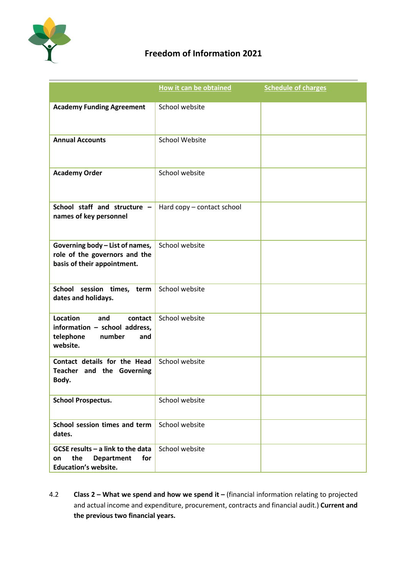

# **Freedom of Information 2021**

|                                                                                                             | How it can be obtained     | <b>Schedule of charges</b> |
|-------------------------------------------------------------------------------------------------------------|----------------------------|----------------------------|
| <b>Academy Funding Agreement</b>                                                                            | School website             |                            |
| <b>Annual Accounts</b>                                                                                      | <b>School Website</b>      |                            |
| <b>Academy Order</b>                                                                                        | School website             |                            |
| School staff and structure -<br>names of key personnel                                                      | Hard copy - contact school |                            |
| Governing body - List of names,<br>role of the governors and the<br>basis of their appointment.             | School website             |                            |
| School session times, term<br>dates and holidays.                                                           | School website             |                            |
| Location<br>and<br>contact<br>information - school address,<br>telephone<br>number<br>and<br>website.       | School website             |                            |
| Contact details for the Head<br>Teacher and the Governing<br>Body.                                          | School website             |                            |
| <b>School Prospectus.</b>                                                                                   | School website             |                            |
| School session times and term<br>dates.                                                                     | School website             |                            |
| GCSE results $-$ a link to the data<br>the<br>for<br><b>Department</b><br>on<br><b>Education's website.</b> | School website             |                            |

4.2 **Class 2 – What we spend and how we spend it –** (financial information relating to projected and actual income and expenditure, procurement, contracts and financial audit.) **Current and the previous two financial years.**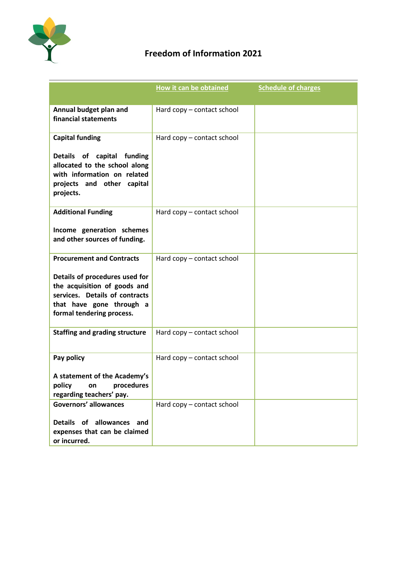

# **Freedom of Information 2021**

|                                                                                                                                                           | How it can be obtained     | <b>Schedule of charges</b> |
|-----------------------------------------------------------------------------------------------------------------------------------------------------------|----------------------------|----------------------------|
|                                                                                                                                                           |                            |                            |
| Annual budget plan and<br>financial statements                                                                                                            | Hard copy - contact school |                            |
| <b>Capital funding</b>                                                                                                                                    | Hard copy - contact school |                            |
| Details of capital funding<br>allocated to the school along<br>with information on related<br>projects and other capital<br>projects.                     |                            |                            |
| <b>Additional Funding</b>                                                                                                                                 | Hard copy - contact school |                            |
| Income generation schemes<br>and other sources of funding.                                                                                                |                            |                            |
| <b>Procurement and Contracts</b>                                                                                                                          | Hard copy - contact school |                            |
| Details of procedures used for<br>the acquisition of goods and<br>services. Details of contracts<br>that have gone through a<br>formal tendering process. |                            |                            |
| <b>Staffing and grading structure</b>                                                                                                                     | Hard copy - contact school |                            |
| Pay policy                                                                                                                                                | Hard copy - contact school |                            |
| A statement of the Academy's<br>policy<br>on procedures<br>regarding teachers' pay.                                                                       |                            |                            |
| <b>Governors' allowances</b>                                                                                                                              | Hard copy - contact school |                            |
| Details of allowances and<br>expenses that can be claimed<br>or incurred.                                                                                 |                            |                            |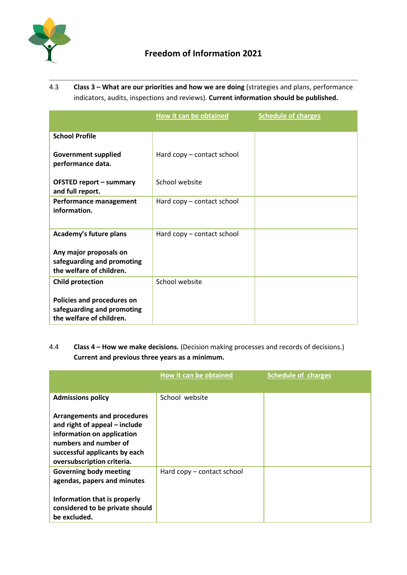

4.3 **Class 3 – What are our priorities and how we are doing** (strategies and plans, performance indicators, audits, inspections and reviews). **Current information should be published.**

|                                                                                                                 | How it can be obtained     | <b>Schedule of charges</b> |
|-----------------------------------------------------------------------------------------------------------------|----------------------------|----------------------------|
| <b>School Profile</b>                                                                                           |                            |                            |
| <b>Government supplied</b><br>performance data.                                                                 | Hard copy – contact school |                            |
| <b>OFSTED report - summary</b><br>and full report.                                                              | School website             |                            |
| Performance management<br>information.                                                                          | Hard copy – contact school |                            |
| Academy's future plans<br>Any major proposals on<br>safeguarding and promoting<br>the welfare of children.      | Hard copy - contact school |                            |
| <b>Child protection</b><br>Policies and procedures on<br>safeguarding and promoting<br>the welfare of children. | School website             |                            |

# 4.4 **Class 4 – How we make decisions.** (Decision making processes and records of decisions.) **Current and previous three years as a minimum.**

|                                                                                                                                                                                           | How it can be obtained     | <b>Schedule of charges</b> |
|-------------------------------------------------------------------------------------------------------------------------------------------------------------------------------------------|----------------------------|----------------------------|
| <b>Admissions policy</b>                                                                                                                                                                  | School website             |                            |
| <b>Arrangements and procedures</b><br>and right of appeal - include<br>information on application<br>numbers and number of<br>successful applicants by each<br>oversubscription criteria. |                            |                            |
| <b>Governing body meeting</b><br>agendas, papers and minutes<br>Information that is properly<br>considered to be private should<br>be excluded.                                           | Hard copy - contact school |                            |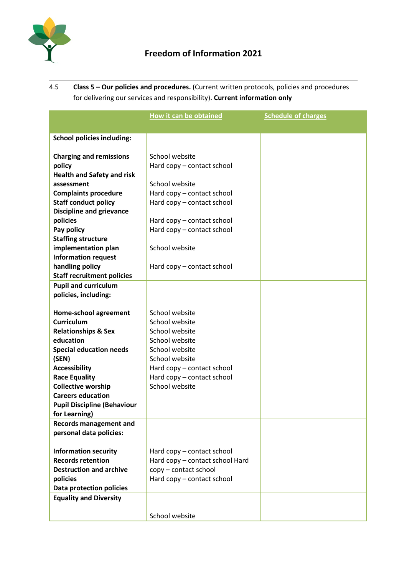

4.5 **Class 5 – Our policies and procedures.** (Current written protocols, policies and procedures for delivering our services and responsibility). **Current information only**

|                                                         | <b>How it can be obtained</b>                                 | <b>Schedule of charges</b> |
|---------------------------------------------------------|---------------------------------------------------------------|----------------------------|
|                                                         |                                                               |                            |
| <b>School policies including:</b>                       |                                                               |                            |
|                                                         |                                                               |                            |
| <b>Charging and remissions</b>                          | School website                                                |                            |
| policy<br><b>Health and Safety and risk</b>             | Hard copy - contact school                                    |                            |
| assessment                                              | School website                                                |                            |
| <b>Complaints procedure</b>                             | Hard copy - contact school                                    |                            |
| <b>Staff conduct policy</b>                             | Hard copy - contact school                                    |                            |
| <b>Discipline and grievance</b>                         |                                                               |                            |
| policies                                                | Hard copy – contact school                                    |                            |
| Pay policy                                              | Hard copy - contact school                                    |                            |
| <b>Staffing structure</b>                               |                                                               |                            |
| implementation plan                                     | School website                                                |                            |
| <b>Information request</b>                              |                                                               |                            |
| handling policy                                         | Hard copy – contact school                                    |                            |
| <b>Staff recruitment policies</b>                       |                                                               |                            |
| <b>Pupil and curriculum</b>                             |                                                               |                            |
| policies, including:                                    |                                                               |                            |
|                                                         |                                                               |                            |
| Home-school agreement<br><b>Curriculum</b>              | School website<br>School website                              |                            |
| <b>Relationships &amp; Sex</b>                          | School website                                                |                            |
| education                                               | School website                                                |                            |
| <b>Special education needs</b>                          | School website                                                |                            |
| (SEN)                                                   | School website                                                |                            |
| <b>Accessibility</b>                                    | Hard copy - contact school                                    |                            |
| <b>Race Equality</b>                                    | Hard copy - contact school                                    |                            |
| <b>Collective worship</b>                               | School website                                                |                            |
| <b>Careers education</b>                                |                                                               |                            |
| <b>Pupil Discipline (Behaviour</b>                      |                                                               |                            |
| for Learning)                                           |                                                               |                            |
| <b>Records management and</b>                           |                                                               |                            |
| personal data policies:                                 |                                                               |                            |
|                                                         |                                                               |                            |
| <b>Information security</b><br><b>Records retention</b> | Hard copy - contact school<br>Hard copy - contact school Hard |                            |
| <b>Destruction and archive</b>                          | copy - contact school                                         |                            |
| policies                                                | Hard copy - contact school                                    |                            |
| Data protection policies                                |                                                               |                            |
| <b>Equality and Diversity</b>                           |                                                               |                            |
|                                                         |                                                               |                            |
|                                                         | School website                                                |                            |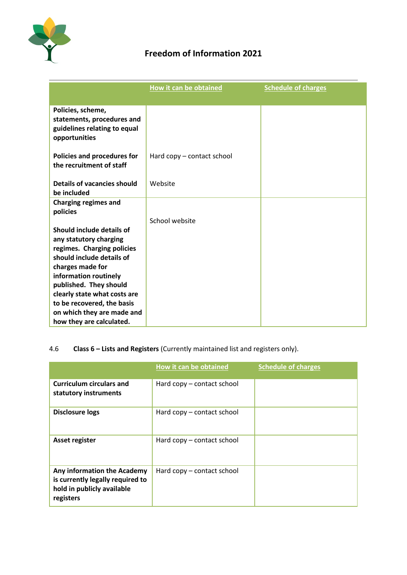

# **Freedom of Information 2021**

|                                                                                                                                                                                                                                                                                                               | <b>How it can be obtained</b> | <b>Schedule of charges</b> |
|---------------------------------------------------------------------------------------------------------------------------------------------------------------------------------------------------------------------------------------------------------------------------------------------------------------|-------------------------------|----------------------------|
| Policies, scheme,<br>statements, procedures and<br>guidelines relating to equal<br>opportunities                                                                                                                                                                                                              |                               |                            |
| Policies and procedures for<br>the recruitment of staff                                                                                                                                                                                                                                                       | Hard copy – contact school    |                            |
| <b>Details of vacancies should</b><br>be included                                                                                                                                                                                                                                                             | Website                       |                            |
| <b>Charging regimes and</b><br>policies                                                                                                                                                                                                                                                                       | School website                |                            |
| Should include details of<br>any statutory charging<br>regimes. Charging policies<br>should include details of<br>charges made for<br>information routinely<br>published. They should<br>clearly state what costs are<br>to be recovered, the basis<br>on which they are made and<br>how they are calculated. |                               |                            |

# 4.6 **Class 6 – Lists and Registers** (Currently maintained list and registers only).

|                                                                                                            | How it can be obtained     | <b>Schedule of charges</b> |
|------------------------------------------------------------------------------------------------------------|----------------------------|----------------------------|
| <b>Curriculum circulars and</b><br>statutory instruments                                                   | Hard copy – contact school |                            |
| <b>Disclosure logs</b>                                                                                     | Hard copy – contact school |                            |
| Asset register                                                                                             | Hard copy – contact school |                            |
| Any information the Academy<br>is currently legally required to<br>hold in publicly available<br>registers | Hard copy – contact school |                            |